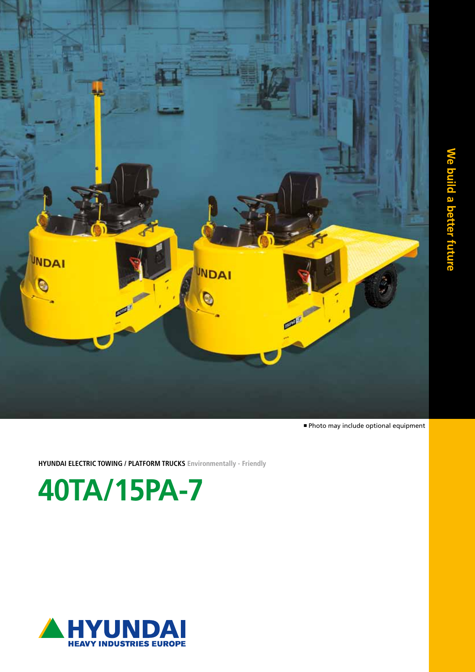

<sup>n</sup> Photo may include optional equipment

**HYUNDAI ELECTRIC TOWING / PLATFORM TRUCKS Environmentally - Friendly**

**40TA/15PA-7**

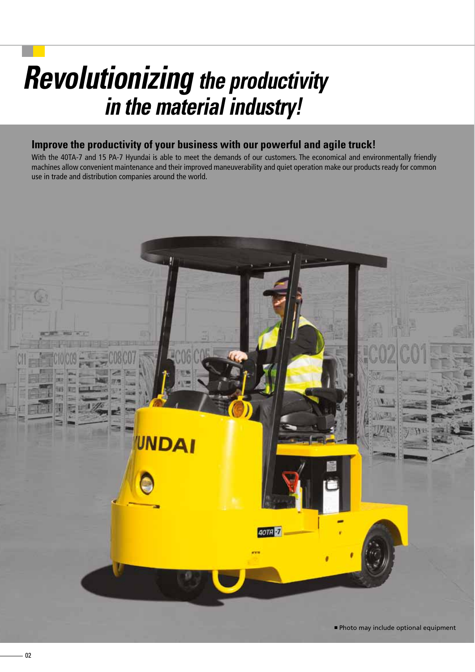# *Revolutionizing the productivity in the material industry!*

# **Improve the productivity of your business with our powerful and agile truck!**

With the 40TA-7 and 15 PA-7 Hyundai is able to meet the demands of our customers. The economical and environmentally friendly machines allow convenient maintenance and their improved maneuverability and quiet operation make our products ready for common use in trade and distribution companies around the world.

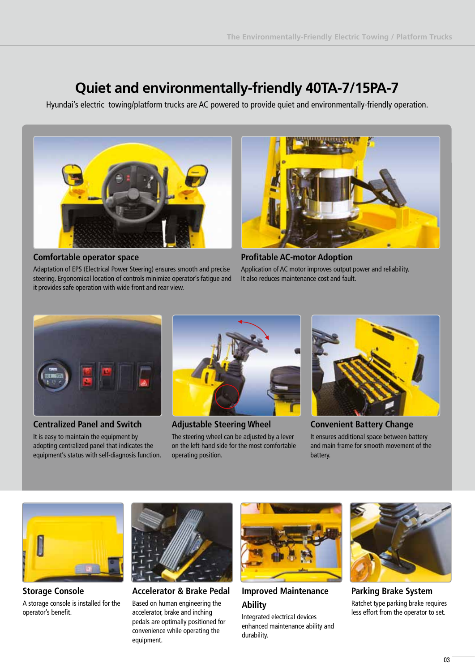# **Quiet and environmentally-friendly 40TA-7/15PA-7**

Hyundai's electric towing/platform trucks are AC powered to provide quiet and environmentally-friendly operation.



#### **Comfortable operator space**

Adaptation of EPS (Electrical Power Steering) ensures smooth and precise steering. Ergonomical location of controls minimize operator's fatigue and it provides safe operation with wide front and rear view.



**Profitable AC-motor Adoption** Application of AC motor improves output power and reliability. It also reduces maintenance cost and fault.



**Centralized Panel and Switch**

It is easy to maintain the equipment by adopting centralized panel that indicates the equipment's status with self-diagnosis function.



**Adjustable Steering Wheel** The steering wheel can be adjusted by a lever on the left-hand side for the most comfortable operating position.



**Convenient Battery Change** It ensures additional space between battery and main frame for smooth movement of the battery.



**Storage Console** A storage console is installed for the operator's benefit.



**Accelerator & Brake Pedal** Based on human engineering the accelerator, brake and inching pedals are optimally positioned for convenience while operating the equipment.



**Improved Maintenance Ability** 

Integrated electrical devices enhanced maintenance ability and durability.



**Parking Brake System** Ratchet type parking brake requires less effort from the operator to set.